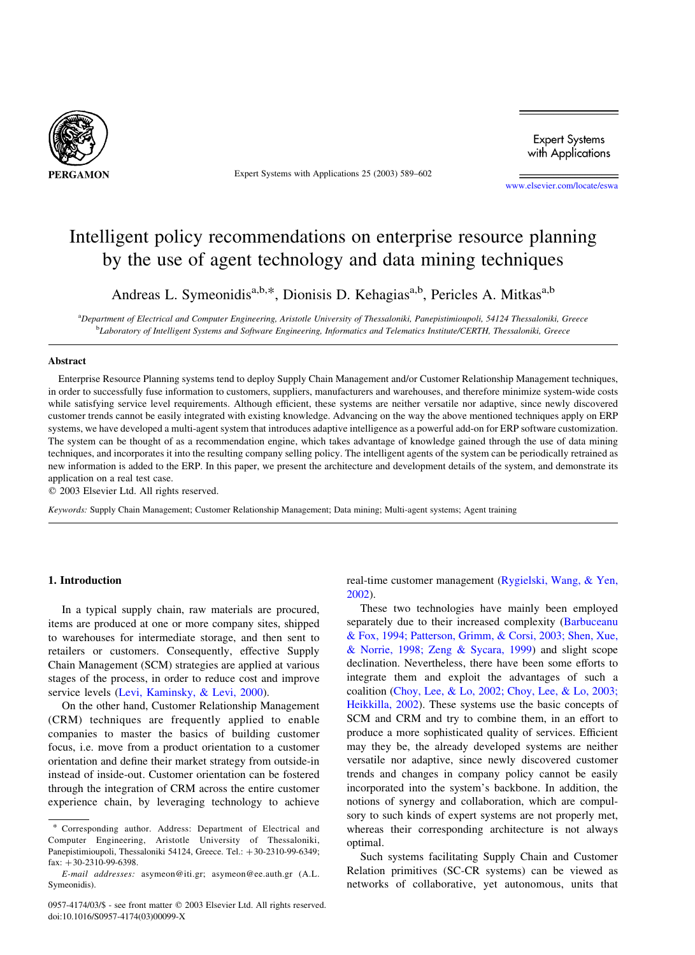

Expert Systems with Applications 25 (2003) 589–602

**Expert Systems** with Applications

[www.elsevier.com/locate/eswa](http://www.elsevier.com/locate/eswa)

## Intelligent policy recommendations on enterprise resource planning by the use of agent technology and data mining techniques

Andreas L. Symeonidis<sup>a,b,\*</sup>, Dionisis D. Kehagias<sup>a,b</sup>, Pericles A. Mitkas<sup>a,b</sup>

a<br>
a Department of Electrical and Computer Engineering, Aristotle University of Thessaloniki, Panepistimioupoli, 54124 Thessaloniki, Greece **bLaboratory of Intelligent Systems and Software Engineering, Informatics and Telematics Institute/CERTH, Thessaloniki, Greece** 

#### **Abstract**

Enterprise Resource Planning systems tend to deploy Supply Chain Management and/or Customer Relationship Management techniques, in order to successfully fuse information to customers, suppliers, manufacturers and warehouses, and therefore minimize system-wide costs while satisfying service level requirements. Although efficient, these systems are neither versatile nor adaptive, since newly discovered customer trends cannot be easily integrated with existing knowledge. Advancing on the way the above mentioned techniques apply on ERP systems, we have developed a multi-agent system that introduces adaptive intelligence as a powerful add-on for ERP software customization. The system can be thought of as a recommendation engine, which takes advantage of knowledge gained through the use of data mining techniques, and incorporates it into the resulting company selling policy. The intelligent agents of the system can be periodically retrained as new information is added to the ERP. In this paper, we present the architecture and development details of the system, and demonstrate its application on a real test case.

 $© 2003 Elsevier Ltd. All rights reserved.$ 

Keywords: Supply Chain Management; Customer Relationship Management; Data mining; Multi-agent systems; Agent training

### 1. Introduction

In a typical supply chain, raw materials are procured, items are produced at one or more company sites, shipped to warehouses for intermediate storage, and then sent to retailers or customers. Consequently, effective Supply Chain Management (SCM) strategies are applied at various stages of the process, in order to reduce cost and improve service levels ([Levi, Kaminsky, & Levi, 2000\)](#page--1-0).

On the other hand, Customer Relationship Management (CRM) techniques are frequently applied to enable companies to master the basics of building customer focus, i.e. move from a product orientation to a customer orientation and define their market strategy from outside-in instead of inside-out. Customer orientation can be fostered through the integration of CRM across the entire customer experience chain, by leveraging technology to achieve real-time customer management ([Rygielski, Wang, & Yen,](#page--1-0) [2002](#page--1-0)).

These two technologies have mainly been employed separately due to their increased complexity ([Barbuceanu](#page--1-0) [& Fox, 1994; Patterson, Grimm, & Corsi, 2003; Shen, Xue,](#page--1-0) [& Norrie, 1998; Zeng & Sycara, 1999\)](#page--1-0) and slight scope declination. Nevertheless, there have been some efforts to integrate them and exploit the advantages of such a coalition ([Choy, Lee, & Lo, 2002; Choy, Lee, & Lo, 2003;](#page--1-0) [Heikkilla, 2002\)](#page--1-0). These systems use the basic concepts of SCM and CRM and try to combine them, in an effort to produce a more sophisticated quality of services. Efficient may they be, the already developed systems are neither versatile nor adaptive, since newly discovered customer trends and changes in company policy cannot be easily incorporated into the system's backbone. In addition, the notions of synergy and collaboration, which are compulsory to such kinds of expert systems are not properly met, whereas their corresponding architecture is not always optimal.

Such systems facilitating Supply Chain and Customer Relation primitives (SC-CR systems) can be viewed as networks of collaborative, yet autonomous, units that

<sup>\*</sup> Corresponding author. Address: Department of Electrical and Computer Engineering, Aristotle University of Thessaloniki, Panepistimioupoli, Thessaloniki 54124, Greece. Tel.: +30-2310-99-6349;  $\text{fax:} +30-2310-99-6398.$ 

E-mail addresses: asymeon@iti.gr; asymeon@ee.auth.gr (A.L. Symeonidis).

<sup>0957-4174/03/\$ -</sup> see front matter © 2003 Elsevier Ltd. All rights reserved. doi:10.1016/S0957-4174(03)00099-X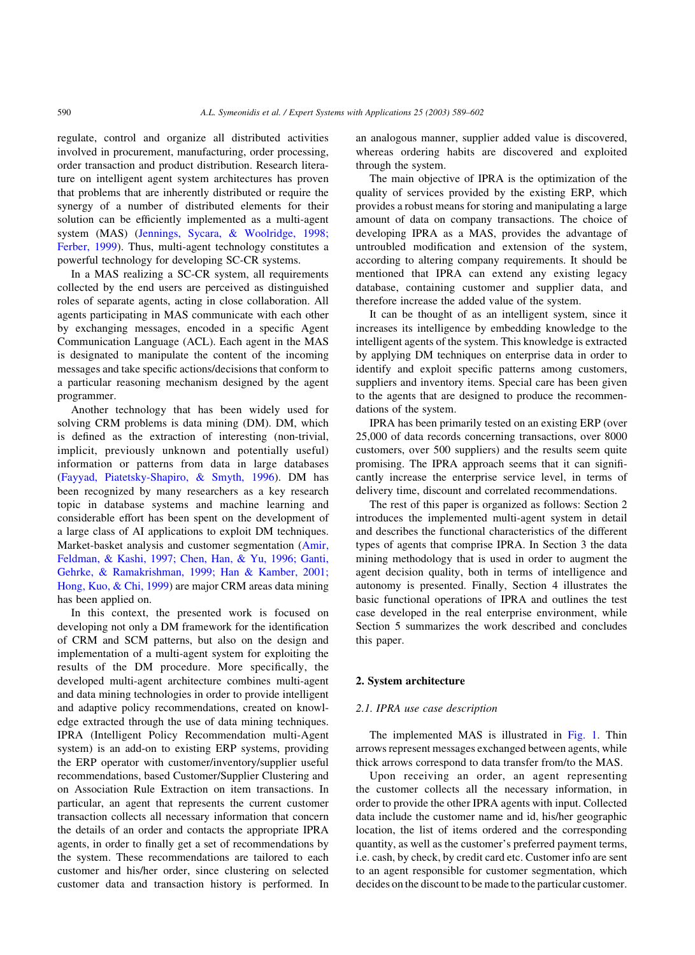regulate, control and organize all distributed activities involved in procurement, manufacturing, order processing, order transaction and product distribution. Research literature on intelligent agent system architectures has proven that problems that are inherently distributed or require the synergy of a number of distributed elements for their solution can be efficiently implemented as a multi-agent system (MAS) [\(Jennings, Sycara, & Woolridge, 1998;](#page--1-0) [Ferber, 1999](#page--1-0)). Thus, multi-agent technology constitutes a powerful technology for developing SC-CR systems.

In a MAS realizing a SC-CR system, all requirements collected by the end users are perceived as distinguished roles of separate agents, acting in close collaboration. All agents participating in MAS communicate with each other by exchanging messages, encoded in a specific Agent Communication Language (ACL). Each agent in the MAS is designated to manipulate the content of the incoming messages and take specific actions/decisions that conform to a particular reasoning mechanism designed by the agent programmer.

Another technology that has been widely used for solving CRM problems is data mining (DM). DM, which is defined as the extraction of interesting (non-trivial, implicit, previously unknown and potentially useful) information or patterns from data in large databases ([Fayyad, Piatetsky-Shapiro, & Smyth, 1996\)](#page--1-0). DM has been recognized by many researchers as a key research topic in database systems and machine learning and considerable effort has been spent on the development of a large class of AI applications to exploit DM techniques. Market-basket analysis and customer segmentation [\(Amir,](#page--1-0) [Feldman, & Kashi, 1997; Chen, Han, & Yu, 1996; Ganti,](#page--1-0) [Gehrke, & Ramakrishman, 1999; Han & Kamber, 2001;](#page--1-0) [Hong, Kuo, & Chi, 1999\)](#page--1-0) are major CRM areas data mining has been applied on.

In this context, the presented work is focused on developing not only a DM framework for the identification of CRM and SCM patterns, but also on the design and implementation of a multi-agent system for exploiting the results of the DM procedure. More specifically, the developed multi-agent architecture combines multi-agent and data mining technologies in order to provide intelligent and adaptive policy recommendations, created on knowledge extracted through the use of data mining techniques. IPRA (Intelligent Policy Recommendation multi-Agent system) is an add-on to existing ERP systems, providing the ERP operator with customer/inventory/supplier useful recommendations, based Customer/Supplier Clustering and on Association Rule Extraction on item transactions. In particular, an agent that represents the current customer transaction collects all necessary information that concern the details of an order and contacts the appropriate IPRA agents, in order to finally get a set of recommendations by the system. These recommendations are tailored to each customer and his/her order, since clustering on selected customer data and transaction history is performed. In

an analogous manner, supplier added value is discovered, whereas ordering habits are discovered and exploited through the system.

The main objective of IPRA is the optimization of the quality of services provided by the existing ERP, which provides a robust means for storing and manipulating a large amount of data on company transactions. The choice of developing IPRA as a MAS, provides the advantage of untroubled modification and extension of the system, according to altering company requirements. It should be mentioned that IPRA can extend any existing legacy database, containing customer and supplier data, and therefore increase the added value of the system.

It can be thought of as an intelligent system, since it increases its intelligence by embedding knowledge to the intelligent agents of the system. This knowledge is extracted by applying DM techniques on enterprise data in order to identify and exploit specific patterns among customers, suppliers and inventory items. Special care has been given to the agents that are designed to produce the recommendations of the system.

IPRA has been primarily tested on an existing ERP (over 25,000 of data records concerning transactions, over 8000 customers, over 500 suppliers) and the results seem quite promising. The IPRA approach seems that it can significantly increase the enterprise service level, in terms of delivery time, discount and correlated recommendations.

The rest of this paper is organized as follows: Section 2 introduces the implemented multi-agent system in detail and describes the functional characteristics of the different types of agents that comprise IPRA. In Section 3 the data mining methodology that is used in order to augment the agent decision quality, both in terms of intelligence and autonomy is presented. Finally, Section 4 illustrates the basic functional operations of IPRA and outlines the test case developed in the real enterprise environment, while Section 5 summarizes the work described and concludes this paper.

### 2. System architecture

#### 2.1. IPRA use case description

The implemented MAS is illustrated in [Fig. 1](#page--1-0). Thin arrows represent messages exchanged between agents, while thick arrows correspond to data transfer from/to the MAS.

Upon receiving an order, an agent representing the customer collects all the necessary information, in order to provide the other IPRA agents with input. Collected data include the customer name and id, his/her geographic location, the list of items ordered and the corresponding quantity, as well as the customer's preferred payment terms, i.e. cash, by check, by credit card etc. Customer info are sent to an agent responsible for customer segmentation, which decides on the discount to be made to the particular customer.